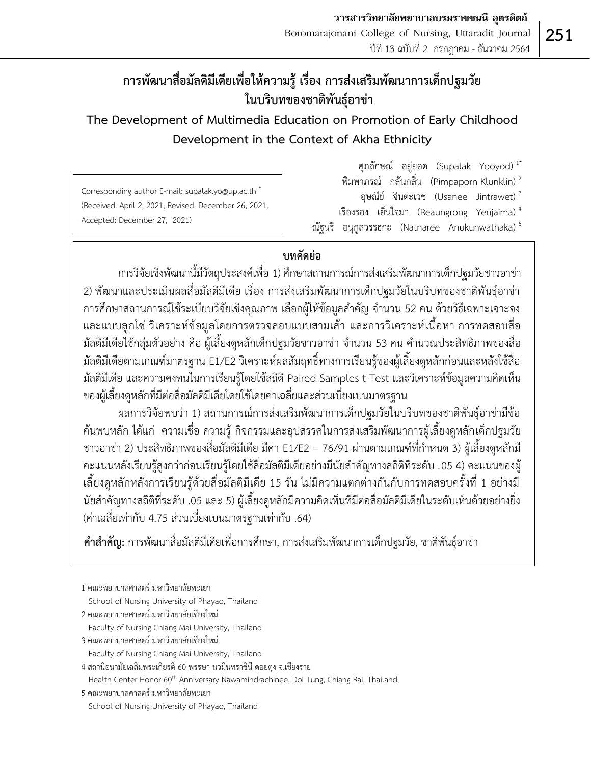# **การพัฒนาสื่อมัลติมีเดียเพื่อให้ความรู้ เรื่อง การส่งเสริมพัฒนาการเด็กปฐมวัย ในบริบทของชาติพันธุ์อาข่า**

# **The Development of Multimedia Education on Promotion of Early Childhood Development in the Context of Akha Ethnicity**

Corresponding author E-mail: supalak.yo@up.ac.th \* (Received: April 2, 2021; Revised: December 26, 2021; Accepted: December 27, 2021)

ศุภลักษณ์ อยู่ยอด (Supalak Yooyod) 1\* พิมพาภรณ์ กลั่นกลิ่น (Pimpaporn Klunklin) <sup>2</sup> อุษณีย์ จินตะเวช (Usanee Jintrawet) <sup>3</sup> เรืองรอง เย็นใจมา (Reaungrong Yenjaima) $^4$ ณัฐนรี อนุกูลวรรธกะ (Natnaree Anukunwathaka) $^5$ 

# **บทคัดย่อ**

การวิจัยเชิงพัฒนานี้มีวัตถุประสงค์เพื่อ 1) ศึกษาสถานการณ์การส่งเสริมพัฒนาการเด็กปฐมวัยชาวอาข่า 2) พัฒนาและประเมินผลสื่อมัลติมีเดีย เรื่อง การส่งเสริมพัฒนาการเด็กปฐมวัยในบริบทของชาติพันธุ์อาข่า การศึกษาสถานการณ์ใช้ระเบียบวิจัยเชิงคุณภาพ เลือกผู้ให้ข้อมูลสำคัญ จำนวน 52 คน ด้วยวิธีเฉพาะเจาะจง และแบบลูกโซ่ วิเคราะห์ข้อมูลโดยการตรวจสอบแบบสามเส้า และการวิเคราะห์เนื้อหา การทดสอบสื่อ มัลติมีเดียใช้กลุ่มตัวอย่าง คือ ผู้เลี้ยงดูหลักเด็กปฐมวัยชาวอาข่า จำนวน 53 คน คำนวณประสิทธิภาพของสื่อ มัลติมีเดียตามเกณฑ์มาตรฐาน E1/E2 วิเคราะห์ผลสัมฤทธิ์ทางการเรียนรู้ของผู้เลี้ยงดูหลักก่อนและหลังใช้สื่อ มัลติมีเดีย และความคงทนในการเรียนรู้โดยใช้สถิติ Paired-Samples t-Test และวิเคราะห์ข้อมูลความคิดเห็น ของผู้เลี้ยงดูหลักที่มีต่อสื่อมัลติมีเดียโดยใช้โดยค่าเฉลี่ยและส่วนเบี่ยงเบนมาตรฐาน

ผลการวิจัยพบว่า 1) สถานการณ์การส่งเสริมพัฒนาการเด็กปฐมวัยในบริบทของชาติพันธุ์อาข่ามีข้อ ค้นพบหลัก ได้แก่ ความเชื่อ ความรู้ กิจกรรมและอุปสรรคในการส่งเสริมพัฒนาการผู้เลี้ยงดูหลักเด็กปฐมวัย ชาวอาข่า 2) ประสิทธิภาพของสื่อมัลติมีเดีย มีค่า E1/E2 = 76/91 ผ่านตามเกณฑ์ที่กำหนด 3) ผู้เลี้ยงดูหลักมี คะแนนหลังเรียนรู้สูงกว่าก่อนเรียนรู้โดยใช้สื่อมัลติมีเดียอย่างมีนัยสำคัญทางสถิติที่ระดับ .05 4) คะแนนของผู้ เลี้ยงดูหลักหลังการเรียนรู้ด้วยสื่อมัลติมีเดีย 15 วัน ไม่มีความแตกต่างกันกับการทดสอบครั้งที่ 1 อย่างมี นัยสำคัญทางสถิติที่ระดับ .05 และ 5) ผู้เลี้ยงดูหลักมีความคิดเห็นที่มีต่อสื่อมัลติมีเดียในระดับเห็นด้วยอย่างยิ่ง (ค่าเฉลี่ยเท่ากับ 4.75 ส่วนเบี่ยงเบนมาตรฐานเท่ากับ .64)

**คำสำคัญ:** การพัฒนาสื่อมัลติมีเดียเพื่อการศึกษา, การส่งเสริมพัฒนาการเด็กปฐมวัย, ชาติพันธุ์อาข่า

- 3 คณะพยาบาลศาสตร์ มหาวิทยาลัยเชียงใหม่
- Faculty of Nursing Chiang Mai University, Thailand

- 5 คณะพยาบาลศาสตร์ มหาวิทยาลัยพะเยา
- School of Nursing University of Phayao, Thailand

<sup>1</sup> คณะพยาบาลศาสตร์ มหาวิทยาลัยพะเยา

School of Nursing University of Phayao, Thailand

<sup>2</sup> คณะพยาบาลศาสตร์ มหาวิทยาลัยเชียงใหม่

Faculty of Nursing Chiang Mai University, Thailand

<sup>4</sup> สถานีอนามัยเฉลิมพระเกียรติ 60 พรรษา นวมินทราชินี ดอยตุง จ.เชียงราย

Health Center Honor 60<sup>th</sup> Anniversary Nawamindrachinee, Doi Tung, Chiang Rai, Thailand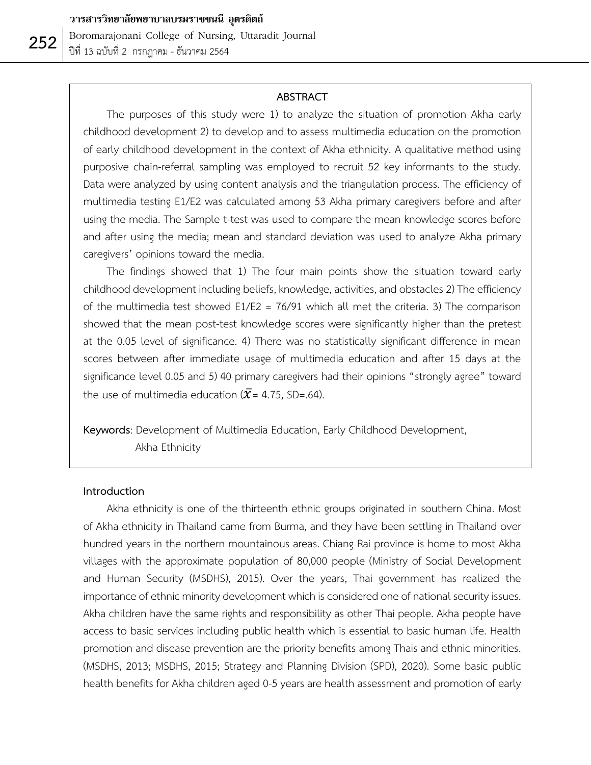#### **ABSTRACT**

 The purposes of this study were 1) to analyze the situation of promotion Akha early childhood development 2) to develop and to assess multimedia education on the promotion of early childhood development in the context of Akha ethnicity. A qualitative method using purposive chain-referral sampling was employed to recruit 52 key informants to the study. Data were analyzed by using content analysis and the triangulation process. The efficiency of multimedia testing E1/E2 was calculated among 53 Akha primary caregivers before and after using the media. The Sample t-test was used to compare the mean knowledge scores before and after using the media; mean and standard deviation was used to analyze Akha primary caregivers' opinions toward the media.

 The findings showed that 1) The four main points show the situation toward early childhood development including beliefs, knowledge, activities, and obstacles 2) The efficiency of the multimedia test showed  $E1/E2 = 76/91$  which all met the criteria. 3) The comparison showed that the mean post-test knowledge scores were significantly higher than the pretest at the 0.05 level of significance. 4) There was no statistically significant difference in mean scores between after immediate usage of multimedia education and after 15 days at the significance level 0.05 and 5) 40 primary caregivers had their opinions "strongly agree" toward the use of multimedia education ( $\bar{x}$ = 4.75, SD=.64).

**Keywords**: Development of Multimedia Education, Early Childhood Development, Akha Ethnicity

#### **Introduction**

 Akha ethnicity is one of the thirteenth ethnic groups originated in southern China. Most of Akha ethnicity in Thailand came from Burma, and they have been settling in Thailand over hundred years in the northern mountainous areas. Chiang Rai province is home to most Akha villages with the approximate population of 80,000 people (Ministry of Social Development and Human Security (MSDHS), 2015). Over the years, Thai government has realized the importance of ethnic minority development which is considered one of national security issues. Akha children have the same rights and responsibility as other Thai people. Akha people have access to basic services including public health which is essential to basic human life. Health promotion and disease prevention are the priority benefits among Thais and ethnic minorities. (MSDHS, 2013; MSDHS, 2015; Strategy and Planning Division (SPD), 2020). Some basic public health benefits for Akha children aged 0-5 years are health assessment and promotion of early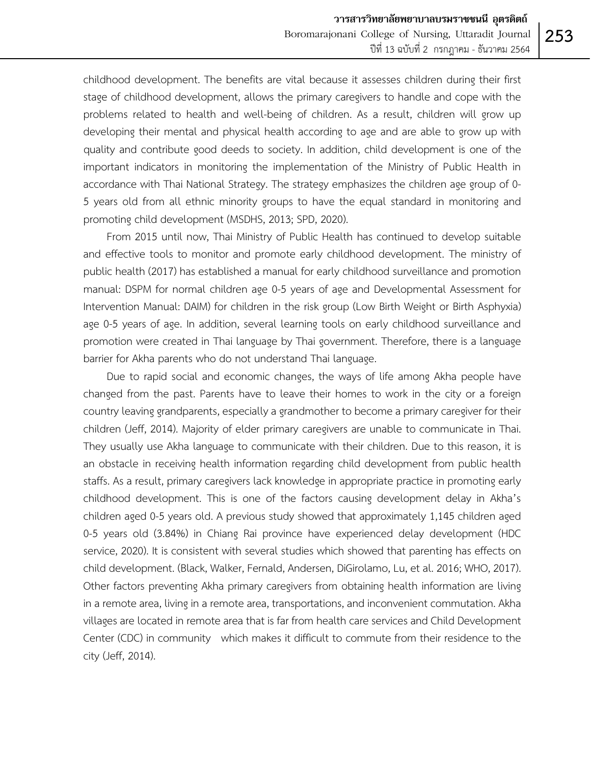childhood development. The benefits are vital because it assesses children during their first stage of childhood development, allows the primary caregivers to handle and cope with the problems related to health and well-being of children. As a result, children will grow up developing their mental and physical health according to age and are able to grow up with quality and contribute good deeds to society. In addition, child development is one of the important indicators in monitoring the implementation of the Ministry of Public Health in accordance with Thai National Strategy. The strategy emphasizes the children age group of 0- 5 years old from all ethnic minority groups to have the equal standard in monitoring and promoting child development (MSDHS, 2013; SPD, 2020).

 From 2015 until now, Thai Ministry of Public Health has continued to develop suitable and effective tools to monitor and promote early childhood development. The ministry of public health (2017) has established a manual for early childhood surveillance and promotion manual: DSPM for normal children age 0-5 years of age and Developmental Assessment for Intervention Manual: DAIM) for children in the risk group (Low Birth Weight or Birth Asphyxia) age 0-5 years of age. In addition, several learning tools on early childhood surveillance and promotion were created in Thai language by Thai government. Therefore, there is a language barrier for Akha parents who do not understand Thai language.

 Due to rapid social and economic changes, the ways of life among Akha people have changed from the past. Parents have to leave their homes to work in the city or a foreign country leaving grandparents, especially a grandmother to become a primary caregiver for their children (Jeff, 2014). Majority of elder primary caregivers are unable to communicate in Thai. They usually use Akha language to communicate with their children. Due to this reason, it is an obstacle in receiving health information regarding child development from public health staffs. As a result, primary caregivers lack knowledge in appropriate practice in promoting early childhood development. This is one of the factors causing development delay in Akha's children aged 0-5 years old. A previous study showed that approximately 1,145 children aged 0-5 years old (3.84%) in Chiang Rai province have experienced delay development (HDC service, 2020). It is consistent with several studies which showed that parenting has effects on child development. (Black, Walker, Fernald, Andersen, DiGirolamo, Lu, et al. 2016; WHO, 2017). Other factors preventing Akha primary caregivers from obtaining health information are living in a remote area, living in a remote area, transportations, and inconvenient commutation. Akha villages are located in remote area that is far from health care services and Child Development Center (CDC) in community which makes it difficult to commute from their residence to the city (Jeff, 2014).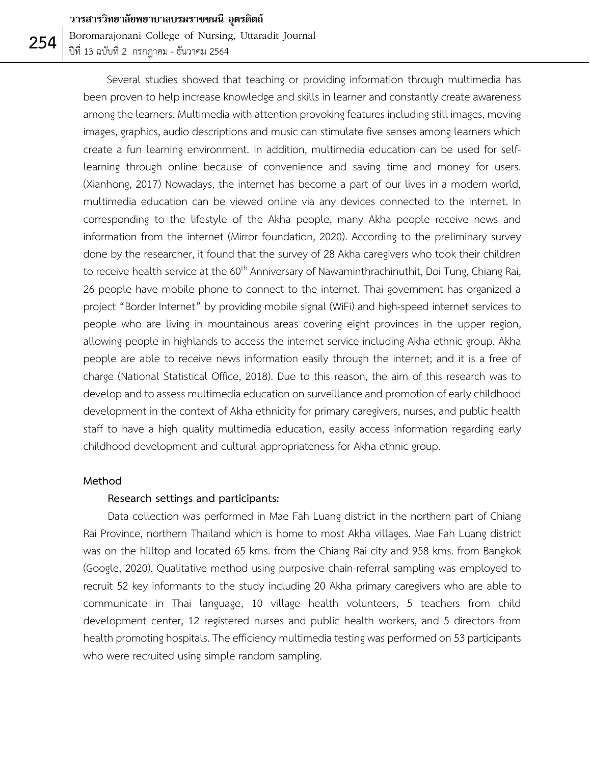Boromarajonani College of Nursing, Uttaradit Journal ปีที่ 13 ฉบับที่ 2 กรกฎาคม - ธันวาคม 2564

 Several studies showed that teaching or providing information through multimedia has been proven to help increase knowledge and skills in learner and constantly create awareness among the learners. Multimedia with attention provoking features including still images, moving images, graphics, audio descriptions and music can stimulate five senses among learners which create a fun learning environment. In addition, multimedia education can be used for selflearning through online because of convenience and saving time and money for users. (Xianhong, 2017) Nowadays, the internet has become a part of our lives in a modern world, multimedia education can be viewed online via any devices connected to the internet. In corresponding to the lifestyle of the Akha people, many Akha people receive news and information from the internet (Mirror foundation, 2020). According to the preliminary survey done by the researcher, it found that the survey of 28 Akha caregivers who took their children to receive health service at the 60<sup>th</sup> Anniversary of Nawaminthrachinuthit, Doi Tung, Chiang Rai, 26 people have mobile phone to connect to the internet. Thai government has organized a project "Border Internet" by providing mobile signal (WiFi) and high-speed internet services to people who are living in mountainous areas covering eight provinces in the upper region, allowing people in highlands to access the internet service including Akha ethnic group. Akha people are able to receive news information easily through the internet; and it is a free of charge (National Statistical Office, 2018). Due to this reason, the aim of this research was to develop and to assess multimedia education on surveillance and promotion of early childhood development in the context of Akha ethnicity for primary caregivers, nurses, and public health staff to have a high quality multimedia education, easily access information regarding early childhood development and cultural appropriateness for Akha ethnic group.

#### **Method**

### **Research settings and participants:**

Data collection was performed in Mae Fah Luang district in the northern part of Chiang Rai Province, northern Thailand which is home to most Akha villages. Mae Fah Luang district was on the hilltop and located 65 kms. from the Chiang Rai city and 958 kms. from Bangkok (Google, 2020). Qualitative method using purposive chain-referral sampling was employed to recruit 52 key informants to the study including 20 Akha primary caregivers who are able to communicate in Thai language, 10 village health volunteers, 5 teachers from child development center, 12 registered nurses and public health workers, and 5 directors from health promoting hospitals.The efficiency multimedia testing was performed on 53 participants who were recruited using simple random sampling.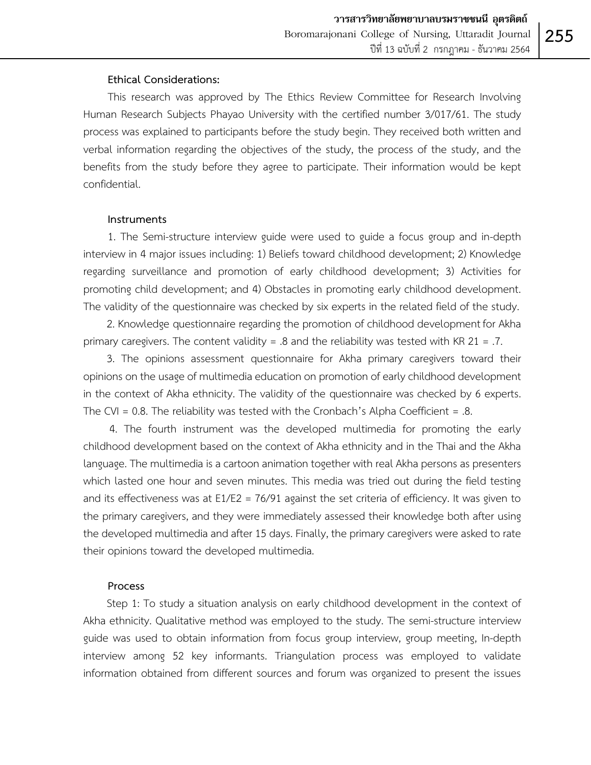## **Ethical Considerations:**

This research was approved by The Ethics Review Committee for Research Involving Human Research Subjects Phayao University with the certified number 3/017/61. The study process was explained to participants before the study begin. They received both written and verbal information regarding the objectives of the study, the process of the study, and the benefits from the study before they agree to participate. Their information would be kept confidential.

### **Instruments**

1. The Semi-structure interview guide were used to guide a focus group and in-depth interview in 4 major issues including: 1) Beliefs toward childhood development; 2) Knowledge regarding surveillance and promotion of early childhood development; 3) Activities for promoting child development; and 4) Obstacles in promoting early childhood development. The validity of the questionnaire was checked by six experts in the related field of the study.

2. Knowledge questionnaire regarding the promotion of childhood development for Akha primary caregivers. The content validity = .8 and the reliability was tested with KR  $21 = .7$ .

3. The opinions assessment questionnaire for Akha primary caregivers toward their opinions on the usage of multimedia education on promotion of early childhood development in the context of Akha ethnicity. The validity of the questionnaire was checked by 6 experts. The CVI =  $0.8$ . The reliability was tested with the Cronbach's Alpha Coefficient =  $.8$ .

4. The fourth instrument was the developed multimedia for promoting the early childhood development based on the context of Akha ethnicity and in the Thai and the Akha language. The multimedia is a cartoon animation together with real Akha persons as presenters which lasted one hour and seven minutes. This media was tried out during the field testing and its effectiveness was at E1/E2 = 76/91 against the set criteria of efficiency. It was given to the primary caregivers, and they were immediately assessed their knowledge both after using the developed multimedia and after 15 days. Finally, the primary caregivers were asked to rate their opinions toward the developed multimedia.

#### **Process**

 Step 1: To study a situation analysis on early childhood development in the context of Akha ethnicity. Qualitative method was employed to the study. The semi-structure interview guide was used to obtain information from focus group interview, group meeting, In-depth interview among 52 key informants. Triangulation process was employed to validate information obtained from different sources and forum was organized to present the issues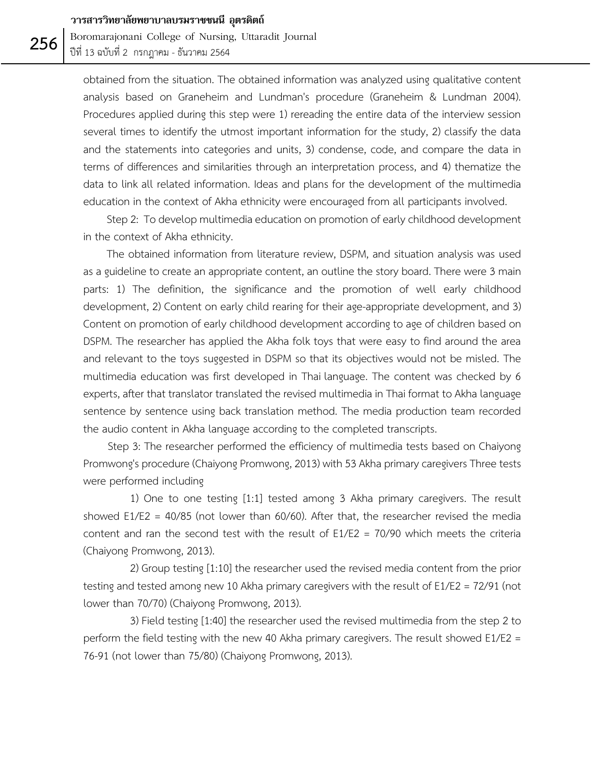Boromarajonani College of Nursing, Uttaradit Journal ปีที่ 13 ฉบับที่ 2 กรกฎาคม - ธันวาคม 2564

obtained from the situation. The obtained information was analyzed using qualitative content analysis based on Graneheim and Lundman's procedure (Graneheim & Lundman 2004). Procedures applied during this step were 1) rereading the entire data of the interview session several times to identify the utmost important information for the study, 2) classify the data and the statements into categories and units, 3) condense, code, and compare the data in terms of differences and similarities through an interpretation process, and 4) thematize the data to link all related information. Ideas and plans for the development of the multimedia education in the context of Akha ethnicity were encouraged from all participants involved.

 Step 2: To develop multimedia education on promotion of early childhood development in the context of Akha ethnicity.

 The obtained information from literature review, DSPM, and situation analysis was used as a guideline to create an appropriate content, an outline the story board. There were 3 main parts: 1) The definition, the significance and the promotion of well early childhood development, 2) Content on early child rearing for their age-appropriate development, and 3) Content on promotion of early childhood development according to age of children based on DSPM. The researcher has applied the Akha folk toys that were easy to find around the area and relevant to the toys suggested in DSPM so that its objectives would not be misled. The multimedia education was first developed in Thai language. The content was checked by 6 experts, after that translator translated the revised multimedia in Thai format to Akha language sentence by sentence using back translation method. The media production team recorded the audio content in Akha language according to the completed transcripts.

Step 3: The researcher performed the efficiency of multimedia tests based on Chaiyong Promwong's procedure (Chaiyong Promwong, 2013) with 53 Akha primary caregivers Three tests were performed including

1) One to one testing [1:1] tested among 3 Akha primary caregivers. The result showed  $E1/E2 = 40/85$  (not lower than 60/60). After that, the researcher revised the media content and ran the second test with the result of E1/E2 = 70/90 which meets the criteria (Chaiyong Promwong, 2013).

2) Group testing [1:10] the researcher used the revised media content from the prior testing and tested among new 10 Akha primary caregivers with the result of E1/E2 = 72/91 (not lower than 70/70) (Chaiyong Promwong, 2013).

3) Field testing [1:40] the researcher used the revised multimedia from the step 2 to perform the field testing with the new 40 Akha primary caregivers. The result showed E1/E2 = 76-91 (not lower than 75/80) (Chaiyong Promwong, 2013).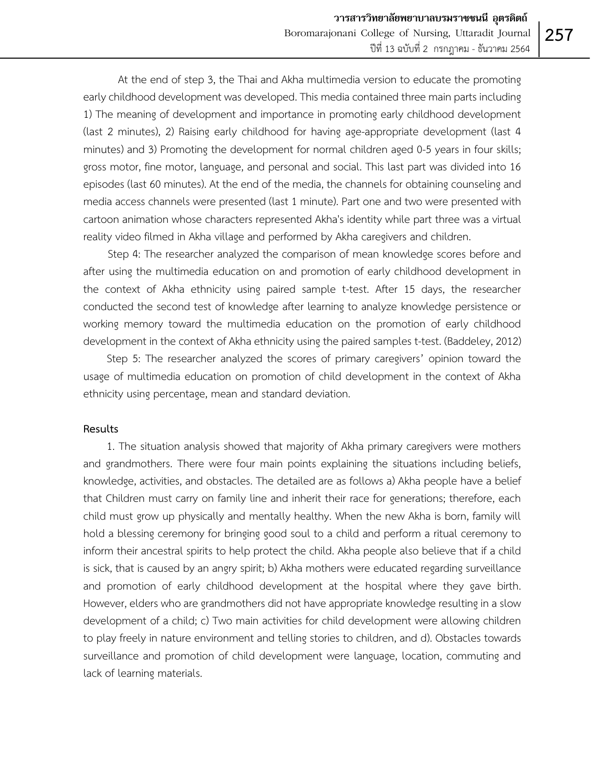At the end of step 3, the Thai and Akha multimedia version to educate the promoting early childhood development was developed. This media contained three main parts including 1) The meaning of development and importance in promoting early childhood development (last 2 minutes), 2) Raising early childhood for having age-appropriate development (last 4 minutes) and 3) Promoting the development for normal children aged 0-5 years in four skills; gross motor, fine motor, language, and personal and social. This last part was divided into 16 episodes (last 60 minutes). At the end of the media, the channels for obtaining counseling and media access channels were presented (last 1 minute). Part one and two were presented with cartoon animation whose characters represented Akha's identity while part three was a virtual reality video filmed in Akha village and performed by Akha caregivers and children.

Step 4: The researcher analyzed the comparison of mean knowledge scores before and after using the multimedia education on and promotion of early childhood development in the context of Akha ethnicity using paired sample t-test. After 15 days, the researcher conducted the second test of knowledge after learning to analyze knowledge persistence or working memory toward the multimedia education on the promotion of early childhood development in the context of Akha ethnicity using the paired samples t-test. (Baddeley, 2012)

 Step 5: The researcher analyzed the scores of primary caregivers' opinion toward the usage of multimedia education on promotion of child development in the context of Akha ethnicity using percentage, mean and standard deviation.

#### **Results**

1. The situation analysis showed that majority of Akha primary caregivers were mothers and grandmothers. There were four main points explaining the situations including beliefs, knowledge, activities, and obstacles. The detailed are as follows a) Akha people have a belief that Children must carry on family line and inherit their race for generations; therefore, each child must grow up physically and mentally healthy. When the new Akha is born, family will hold a blessing ceremony for bringing good soul to a child and perform a ritual ceremony to inform their ancestral spirits to help protect the child. Akha people also believe that if a child is sick, that is caused by an angry spirit; b) Akha mothers were educated regarding surveillance and promotion of early childhood development at the hospital where they gave birth. However, elders who are grandmothers did not have appropriate knowledge resulting in a slow development of a child; c) Two main activities for child development were allowing children to play freely in nature environment and telling stories to children, and d). Obstacles towards surveillance and promotion of child development were language, location, commuting and lack of learning materials.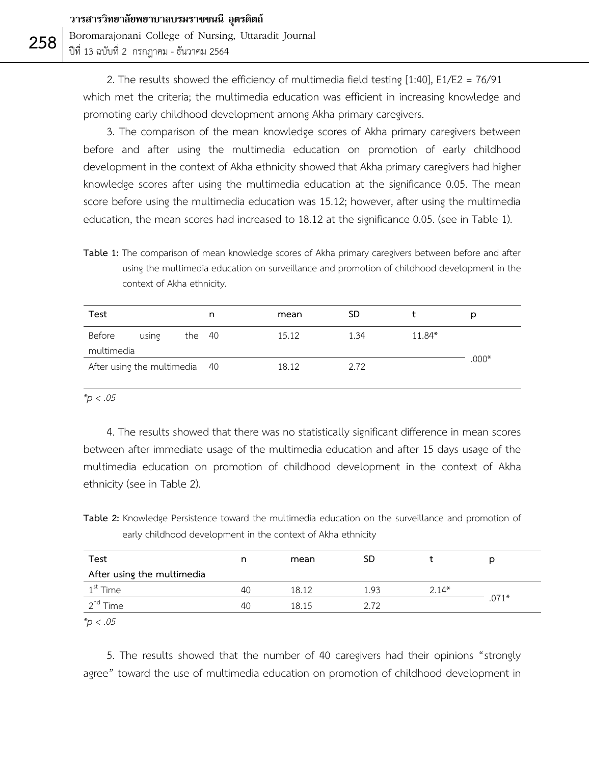Boromarajonani College of Nursing, Uttaradit Journal ปีที่ 13 ฉบับที่ 2 กรกฎาคม - ธันวาคม 2564

2. The results showed the efficiency of multimedia field testing [1:40], E1/E2 = 76/91 which met the criteria; the multimedia education was efficient in increasing knowledge and promoting early childhood development among Akha primary caregivers.

3. The comparison of the mean knowledge scores of Akha primary caregivers between before and after using the multimedia education on promotion of early childhood development in the context of Akha ethnicity showed that Akha primary caregivers had higher knowledge scores after using the multimedia education at the significance 0.05. The mean score before using the multimedia education was 15.12; however, after using the multimedia education, the mean scores had increased to 18.12 at the significance 0.05. (see in Table 1).

**Table 1:** The comparison of mean knowledge scores of Akha primary caregivers between before and after using the multimedia education on surveillance and promotion of childhood development in the context of Akha ethnicity.

| Test                          |       |        | n     | mean  | <b>SD</b> |         |  |
|-------------------------------|-------|--------|-------|-------|-----------|---------|--|
| Before<br>multimedia          | using | the 40 |       | 15.12 | 1.34      | 11.84*  |  |
| After using the multimedia 40 |       |        | 18.12 | 2.72  |           | $.000*$ |  |

*\*p < .05*

4. The results showed that there was no statistically significant difference in mean scores between after immediate usage of the multimedia education and after 15 days usage of the multimedia education on promotion of childhood development in the context of Akha ethnicity (see in Table 2).

**Table 2:** Knowledge Persistence toward the multimedia education on the surveillance and promotion of early childhood development in the context of Akha ethnicity

| Test                       | n  | mean  | SD   |         |         |  |
|----------------------------|----|-------|------|---------|---------|--|
| After using the multimedia |    |       |      |         |         |  |
| $1st$ Time                 | 40 | 18.12 | 1.93 | $2.14*$ |         |  |
| n <sup>nd</sup> Time       | 40 | 18 15 | 2.72 |         | $.071*$ |  |

*\*p < .05*

5. The results showed that the number of 40 caregivers had their opinions "strongly agree" toward the use of multimedia education on promotion of childhood development in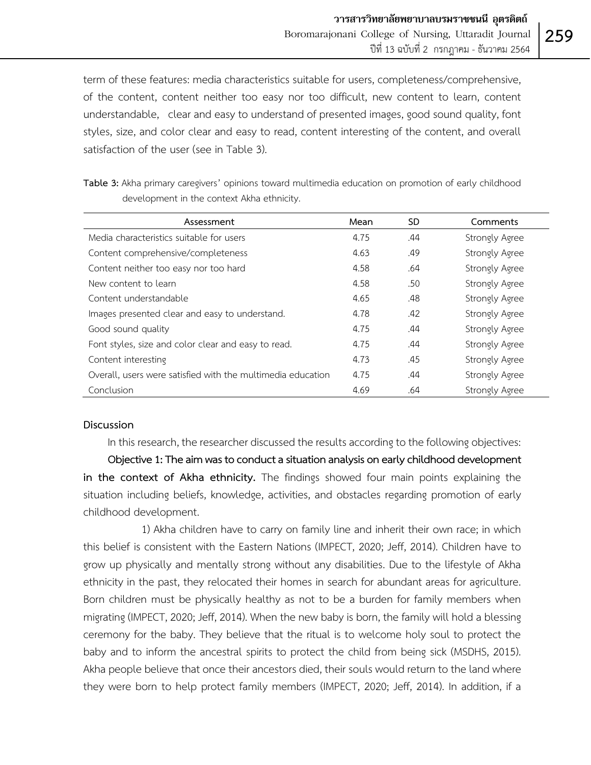term of these features: media characteristics suitable for users, completeness/comprehensive, of the content, content neither too easy nor too difficult, new content to learn, content understandable, clear and easy to understand of presented images, good sound quality, font styles, size, and color clear and easy to read, content interesting of the content, and overall satisfaction of the user (see in Table 3).

|                                            | Table 3: Akha primary caregivers' opinions toward multimedia education on promotion of early childhood |  |
|--------------------------------------------|--------------------------------------------------------------------------------------------------------|--|
| development in the context Akha ethnicity. |                                                                                                        |  |

| Assessment                                                  | Mean | SD. | Comments              |
|-------------------------------------------------------------|------|-----|-----------------------|
| Media characteristics suitable for users                    | 4.75 | .44 | Strongly Agree        |
| Content comprehensive/completeness                          | 4.63 | .49 | Strongly Agree        |
| Content neither too easy nor too hard                       | 4.58 | .64 | <b>Strongly Agree</b> |
| New content to learn                                        | 4.58 | .50 | <b>Strongly Agree</b> |
| Content understandable                                      | 4.65 | .48 | <b>Strongly Agree</b> |
| Images presented clear and easy to understand.              | 4.78 | .42 | <b>Strongly Agree</b> |
| Good sound quality                                          | 4.75 | .44 | <b>Strongly Agree</b> |
| Font styles, size and color clear and easy to read.         | 4.75 | .44 | <b>Strongly Agree</b> |
| Content interesting                                         | 4.73 | .45 | Strongly Agree        |
| Overall, users were satisfied with the multimedia education | 4.75 | .44 | <b>Strongly Agree</b> |
| Conclusion                                                  | 4.69 | .64 | Strongly Agree        |

### **Discussion**

In this research, the researcher discussed the results according to the following objectives:

 **Objective 1: The aimwas to conduct a situation analysis on early childhood development in the context of Akha ethnicity.** The findings showed four main points explaining the situation including beliefs, knowledge, activities, and obstacles regarding promotion of early childhood development.

1) Akha children have to carry on family line and inherit their own race; in which this belief is consistent with the Eastern Nations (IMPECT, 2020; Jeff, 2014). Children have to grow up physically and mentally strong without any disabilities. Due to the lifestyle of Akha ethnicity in the past, they relocated their homes in search for abundant areas for agriculture. Born children must be physically healthy as not to be a burden for family members when migrating (IMPECT, 2020; Jeff, 2014). When the new baby is born, the family will hold a blessing ceremony for the baby. They believe that the ritual is to welcome holy soul to protect the baby and to inform the ancestral spirits to protect the child from being sick (MSDHS, 2015). Akha people believe that once their ancestors died, their souls would return to the land where they were born to help protect family members (IMPECT, 2020; Jeff, 2014). In addition, if a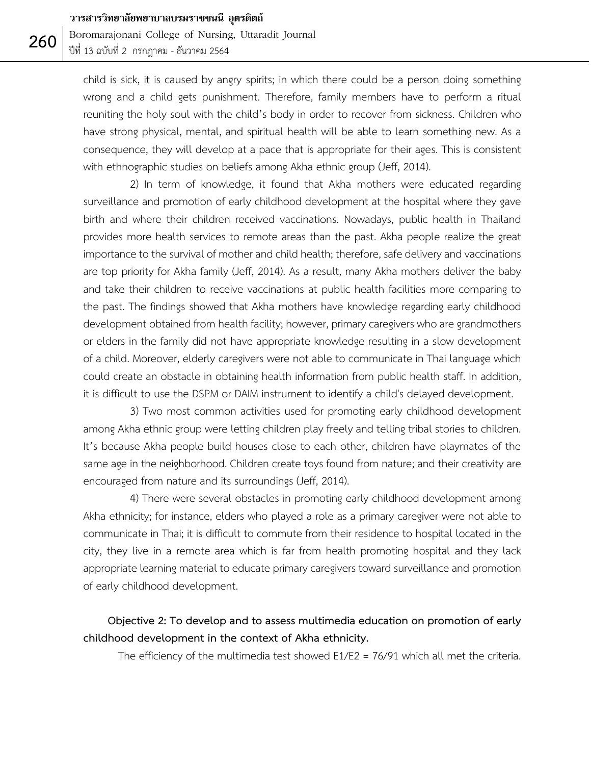Boromarajonani College of Nursing, Uttaradit Journal ปีที่ 13 ฉบับที่ 2 กรกฎาคม - ธันวาคม 2564

child is sick, it is caused by angry spirits; in which there could be a person doing something wrong and a child gets punishment. Therefore, family members have to perform a ritual reuniting the holy soul with the child's body in order to recover from sickness. Children who have strong physical, mental, and spiritual health will be able to learn something new. As a consequence, they will develop at a pace that is appropriate for their ages. This is consistent with ethnographic studies on beliefs among Akha ethnic group (Jeff, 2014).

2) In term of knowledge, it found that Akha mothers were educated regarding surveillance and promotion of early childhood development at the hospital where they gave birth and where their children received vaccinations. Nowadays, public health in Thailand provides more health services to remote areas than the past. Akha people realize the great importance to the survival of mother and child health; therefore, safe delivery and vaccinations are top priority for Akha family (Jeff, 2014). As a result, many Akha mothers deliver the baby and take their children to receive vaccinations at public health facilities more comparing to the past. The findings showed that Akha mothers have knowledge regarding early childhood development obtained from health facility; however, primary caregivers who are grandmothers or elders in the family did not have appropriate knowledge resulting in a slow development of a child. Moreover, elderly caregivers were not able to communicate in Thai language which could create an obstacle in obtaining health information from public health staff. In addition, it is difficult to use the DSPM or DAIM instrument to identify a child's delayed development.

3) Two most common activities used for promoting early childhood development among Akha ethnic group were letting children play freely and telling tribal stories to children. It's because Akha people build houses close to each other, children have playmates of the same age in the neighborhood. Children create toys found from nature; and their creativity are encouraged from nature and its surroundings (Jeff, 2014).

4) There were several obstacles in promoting early childhood development among Akha ethnicity; for instance, elders who played a role as a primary caregiver were not able to communicate in Thai; it is difficult to commute from their residence to hospital located in the city, they live in a remote area which is far from health promoting hospital and they lack appropriate learning material to educate primary caregivers toward surveillance and promotion of early childhood development.

# **Objective 2: To develop and to assess multimedia education on promotion of early childhood development in the context of Akha ethnicity.**

The efficiency of the multimedia test showed  $E1/E2 = 76/91$  which all met the criteria.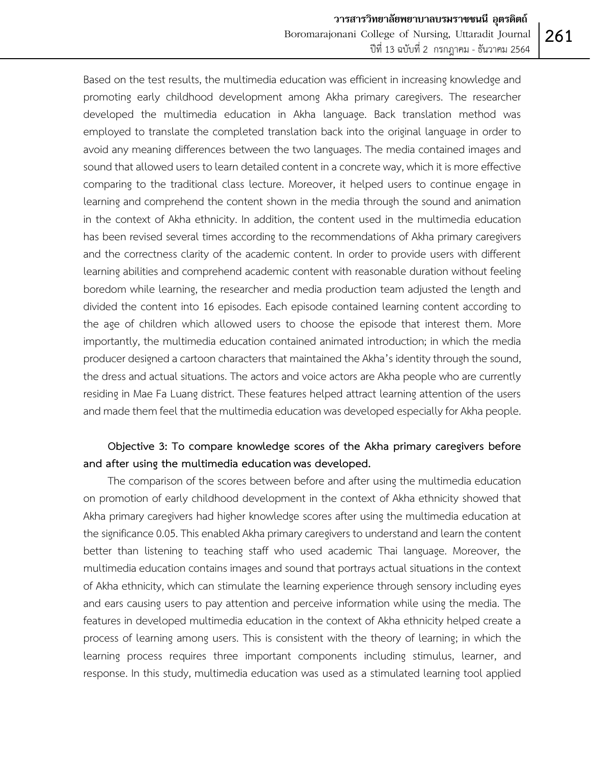Based on the test results, the multimedia education was efficient in increasing knowledge and promoting early childhood development among Akha primary caregivers. The researcher developed the multimedia education in Akha language. Back translation method was employed to translate the completed translation back into the original language in order to avoid any meaning differences between the two languages. The media contained images and sound that allowed users to learn detailed content in a concrete way, which it is more effective comparing to the traditional class lecture. Moreover, it helped users to continue engage in learning and comprehend the content shown in the media through the sound and animation in the context of Akha ethnicity. In addition, the content used in the multimedia education has been revised several times according to the recommendations of Akha primary caregivers and the correctness clarity of the academic content. In order to provide users with different learning abilities and comprehend academic content with reasonable duration without feeling boredom while learning, the researcher and media production team adjusted the length and divided the content into 16 episodes. Each episode contained learning content according to the age of children which allowed users to choose the episode that interest them. More importantly, the multimedia education contained animated introduction; in which the media producer designed acartoon characters that maintained the Akha's identity through the sound, the dress and actual situations. The actors and voice actors are Akha people who are currently residing in Mae Fa Luang district. These features helped attract learning attention of the users and made them feel that the multimedia education was developed especially for Akha people.

# **Objective 3: To compare knowledge scores of the Akha primary caregivers before and after using the multimedia education was developed.**

The comparison of the scores between before and after using the multimedia education on promotion of early childhood development in the context of Akha ethnicity showed that Akha primary caregivers had higher knowledge scores after using the multimedia education at the significance 0.05. This enabled Akha primary caregivers to understand and learn the content better than listening to teaching staff who used academic Thai language. Moreover, the multimedia education contains images and sound that portrays actual situations in the context of Akha ethnicity, which can stimulate the learning experience through sensory including eyes and ears causing users to pay attention and perceive information while using the media. The features in developed multimedia education in the context of Akha ethnicity helped create a process of learning among users. This is consistent with the theory of learning; in which the learning process requires three important components including stimulus, learner, and response. In this study, multimedia education was used as a stimulated learning tool applied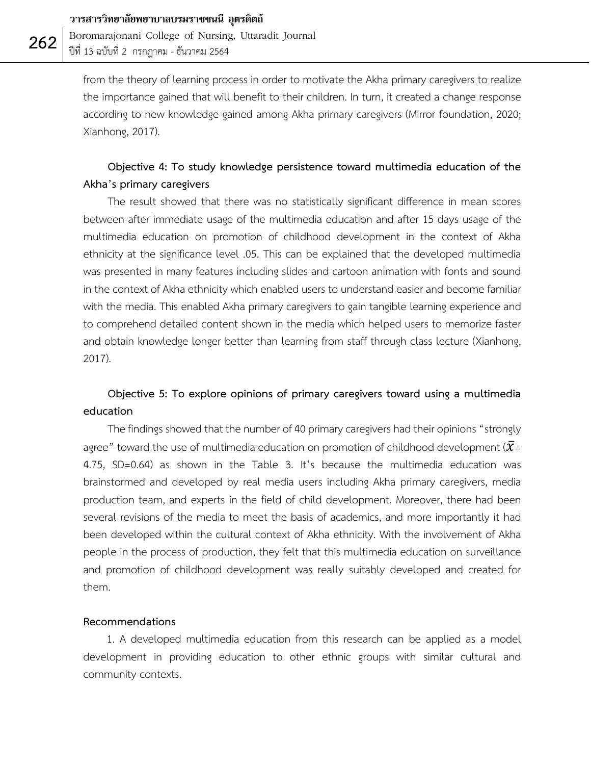Boromarajonani College of Nursing, Uttaradit Journal ปีที่ 13 ฉบับที่ 2 กรกฎาคม - ธันวาคม 2564

from the theory of learning process in order to motivate the Akha primary caregivers to realize the importance gained that will benefit to their children. In turn, it created a change response according to new knowledge gained among Akha primary caregivers (Mirror foundation, 2020; Xianhong, 2017).

# **Objective 4: To study knowledge persistence toward multimedia education of the Akha's primary caregivers**

The result showed that there was no statistically significant difference in mean scores between after immediate usage of the multimedia education and after 15 days usage of the multimedia education on promotion of childhood development in the context of Akha ethnicity at the significance level .05. This can be explained that the developed multimedia was presented in many features including slides and cartoon animation with fonts and sound in the context of Akha ethnicity which enabled users to understand easier and become familiar with the media. This enabled Akha primary caregivers to gain tangible learning experience and to comprehend detailed content shown in the media which helped users to memorize faster and obtain knowledge longer better than learning from staff through class lecture (Xianhong, 2017).

# **Objective 5: To explore opinions of primary caregivers toward using a multimedia education**

The findings showed that the number of 40 primary caregivers had their opinions "strongly agree" toward the use of multimedia education on promotion of childhood development ( $\bar{\chi}$ = 4.75, SD=0.64) as shown in the Table 3. It's because the multimedia education was brainstormed and developed by real media users including Akha primary caregivers, media production team, and experts in the field of child development. Moreover, there had been several revisions of the media to meet the basis of academics, and more importantly it had been developed within the cultural context of Akha ethnicity. With the involvement of Akha people in the process of production, they felt that this multimedia education on surveillance and promotion of childhood development was really suitably developed and created for them.

### **Recommendations**

1. A developed multimedia education from this research can be applied as a model development in providing education to other ethnic groups with similar cultural and community contexts.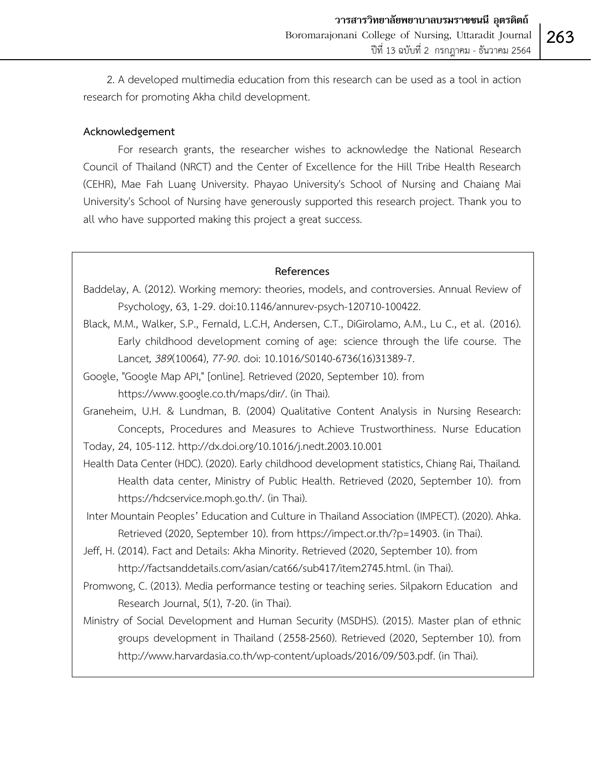2. A developed multimedia education from this research can be used as a tool in action research for promoting Akha child development.

## **Acknowledgement**

For research grants, the researcher wishes to acknowledge the National Research Council of Thailand (NRCT) and the Center of Excellence for the Hill Tribe Health Research (CEHR), Mae Fah Luang University. Phayao University's School of Nursing and Chaiang Mai University's School of Nursing have generously supported this research project. Thank you to all who have supported making this project a great success.

## **References**

Baddelay, A. (2012). Working memory: theories, models, and controversies. Annual Review of Psychology, 63, 1-29. doi:10.1146/annurev-psych-120710-100422.

- Black, M.M., Walker, S.P., Fernald, L.C.H, Andersen, C.T., DiGirolamo, A.M., Lu C., et al. (2016). Early childhood development coming of age: science through the life course. The Lancet*, 389*(10064), *77-90*. doi: 10.1016/S0140-6736(16)31389-7.
- Google, "Google Map API," [online]. Retrieved (2020, September 10). from https://www.google.co.th/maps/dir/. (in Thai).
- Graneheim, U.H. & Lundman, B. (2004) Qualitative Content Analysis in Nursing Research: Concepts, Procedures and Measures to Achieve Trustworthiness. Nurse Education Today, 24, 105-112. http://dx.doi.org/10.1016/j.nedt.2003.10.001
- Health Data Center (HDC). (2020). Early childhood development statistics, Chiang Rai, Thailand*.* Health data center, Ministry of Public Health. Retrieved (2020, September 10). from https://hdcservice.moph.go.th/. (in Thai).
- Inter Mountain Peoples' Education and Culture in Thailand Association (IMPECT). (2020). Ahka. Retrieved (2020, September 10). from https://impect.or.th/?p=14903. (in Thai).
- Jeff, H. (2014). Fact and Details: Akha Minority. Retrieved (2020, September 10). from http://factsanddetails.com/asian/cat66/sub417/item2745.html. (in Thai).
- Promwong, C. (2013). Media performance testing or teaching series. Silpakorn Education and Research Journal, 5(1), 7-20. (in Thai).
- Ministry of Social Development and Human Security (MSDHS). (2015). Master plan of ethnic groups development in Thailand (2558-2560). Retrieved (2020, September 10). from http://www.harvardasia.co.th/wp-content/uploads/2016/09/503.pdf. (in Thai).